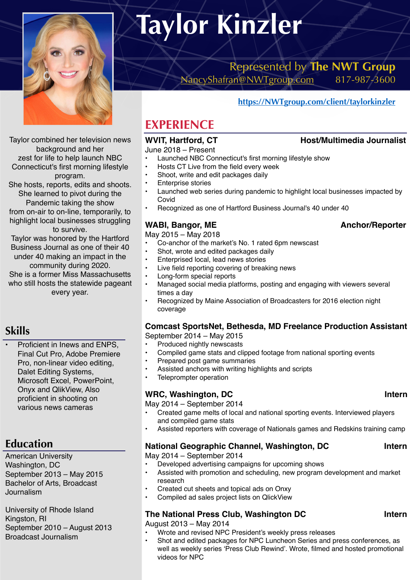

Taylor combined her television news background and her zest for life to help launch NBC Connecticut's first morning lifestyle program.

She hosts, reports, edits and shoots. She learned to pivot during the Pandemic taking the show from on-air to on-line, temporarily, to highlight local businesses struggling

to survive. Taylor was honored by the Hartford

Business Journal as one of their 40 under 40 making an impact in the community during 2020.

She is a former Miss Massachusetts who still hosts the statewide pageant every year.

# **Skills**

Proficient in Inews and ENPS, Final Cut Pro, Adobe Premiere Pro, non-linear video editing, Dalet Editing Systems, Microsoft Excel, PowerPoint, Onyx and QlikView, Also proficient in shooting on various news cameras

# **Education**

American University Washington, DC September 2013 – May 2015 Bachelor of Arts, Broadcast Journalism

University of Rhode Island Kingston, RI September 2010 – August 2013 Broadcast Journalism

# **Taylor Kinzler**

Represented by **The NWT Group**  [NancyShafran@NWTgroup.com](mailto:NancyShafran@NWTgroup.com) 817-987-3600

# **<https://NWTgroup.com/client/taylorkinzler>**

# **EXPERIENCE**

June 2018 – Present

- Launched NBC Connecticut's first morning lifestyle show<br>• Hosts CT Live from the field every week
- Hosts CT Live from the field every week
- Shoot, write and edit packages daily
- **Enterprise stories**
- Launched web series during pandemic to highlight local businesses impacted by Covid
- Recognized as one of Hartford Business Journal's 40 under 40

## WABI, Bangor, ME Anchor/Reporter

May 2015 – May 2018

- Co-anchor of the market's No. 1 rated 6pm newscast
- Shot, wrote and edited packages daily
- Enterprised local, lead news stories
- Live field reporting covering of breaking news<br>• Long-form special reports
- Long-form special reports
- Managed social media platforms, posting and engaging with viewers several times a day
- Recognized by Maine Association of Broadcasters for 2016 election night coverage

# **Comcast SportsNet, Bethesda, MD Freelance Production Assistant**

September 2014 – May 2015

- Produced nightly newscasts
- Compiled game stats and clipped footage from national sporting events<br>• Prepared post game summaries
- Prepared post game summaries
- Assisted anchors with writing highlights and scripts
- Teleprompter operation

### WRC, Washington, DC **Internal Internal Internal Internal Internal Internal Intern**

May 2014 – September 2014

- Created game melts of local and national sporting events. Interviewed players and compiled game stats
- Assisted reporters with coverage of Nationals games and Redskins training camp

### **National Geographic Channel, Washington, DC Intern**

May 2014 – September 2014

- Developed advertising campaigns for upcoming shows
- Assisted with promotion and scheduling, new program development and market research
- Created cut sheets and topical ads on Onxy
- Compiled ad sales project lists on QlickView

### **The National Press Club, Washington DC Intern**

August 2013 – May 2014

- Wrote and revised NPC President's weekly press releases<br>• Shot and edited packages for NPC Luncheon Series and p
- Shot and edited packages for NPC Luncheon Series and press conferences, as well as weekly series 'Press Club Rewind'. Wrote, filmed and hosted promotional videos for NPC

# WVIT, Hartford, CT **Host/Multimedia Journalist**